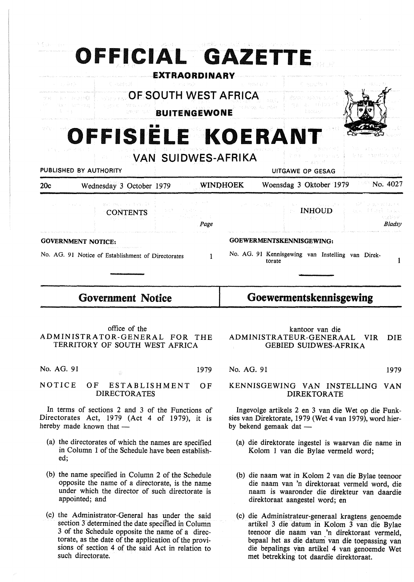| References and the second companion of the<br>有限 一 新<br>OFFICIAL GAZETTE<br><b>EXTRAORDINARY</b>                                                                                                                                                                      |                                                                                                                                                                                                                                                     |                 |                                                                                                                                                                                     |                                                                |  |  |  |  |  |
|-----------------------------------------------------------------------------------------------------------------------------------------------------------------------------------------------------------------------------------------------------------------------|-----------------------------------------------------------------------------------------------------------------------------------------------------------------------------------------------------------------------------------------------------|-----------------|-------------------------------------------------------------------------------------------------------------------------------------------------------------------------------------|----------------------------------------------------------------|--|--|--|--|--|
| 图 神话地说<br>(4) 内部主要決<br>fi encito il<br>in singular time<br>OF SOUTH WEST AFRICA<br>.<br>Historiak<br>ar acamû<br>ਾਣਾ ਜਾਂਦੇ ਸਭ ਦੇ ਇ<br>Main Classific Page<br><b>BUITENGEWONE</b><br>botan<br>OFFISIELE KOERANT                                                        |                                                                                                                                                                                                                                                     |                 |                                                                                                                                                                                     |                                                                |  |  |  |  |  |
| <b>VAN SUIDWES-AFRIKA</b><br>PUBLISHED BY AUTHORITY                                                                                                                                                                                                                   |                                                                                                                                                                                                                                                     |                 | ins.<br>m artist <sup>a</sup><br>UITGAWE OP GESAG                                                                                                                                   | 高速器 にて直体時になっている<br>in Changeri                                 |  |  |  |  |  |
| 20c<br>Wednesday 3 October 1979                                                                                                                                                                                                                                       |                                                                                                                                                                                                                                                     | <b>WINDHOEK</b> | Woensdag 3 Oktober 1979                                                                                                                                                             | しんぶメート<br>$N_{\rm O}$ . 4027                                   |  |  |  |  |  |
| 激励 中国 バッテ 手続い合い<br>and the state of the con-<br><b>CONTENTS</b>                                                                                                                                                                                                       | はない (人)<br>Page                                                                                                                                                                                                                                     |                 | 小林 计平均分类数据<br><b>INHOUD</b><br><b>STATISTIC</b>                                                                                                                                     | a 24 Thuraigh and pulled a<br>ma Plant tras<br>不同解决权<br>Bladsy |  |  |  |  |  |
| <b>GOVERNMENT NOTICE:</b><br>No. AG. 91 Notice of Establishment of Directorates                                                                                                                                                                                       | $\mathbf{1}$                                                                                                                                                                                                                                        |                 | GOEWERMENTSKENNISGEWING:<br>No. AG. 91 Kennisgewing van Instelling van Direk-<br>torate                                                                                             | 1                                                              |  |  |  |  |  |
| <b>Government Notice</b>                                                                                                                                                                                                                                              | Goewermentskennisgewing                                                                                                                                                                                                                             |                 |                                                                                                                                                                                     |                                                                |  |  |  |  |  |
| office of the<br>ADMINISTRATOR-GENERAL FOR<br>TERRITORY OF SOUTH WEST AFRICA                                                                                                                                                                                          | <b>THE</b>                                                                                                                                                                                                                                          |                 | kantoor van die<br>ADMINISTRATEUR-GENERAAL<br><b>GEBIED SUIDWES-AFRIKA</b>                                                                                                          | <b>VIR</b><br><b>DIE</b>                                       |  |  |  |  |  |
| No. AG. 91<br>ਣ                                                                                                                                                                                                                                                       | 1979                                                                                                                                                                                                                                                | No. AG. 91      |                                                                                                                                                                                     | 1979                                                           |  |  |  |  |  |
| NOTICE<br><b>ESTABLISHMENT</b><br>ΟF<br><b>DIRECTORATES</b>                                                                                                                                                                                                           | OF                                                                                                                                                                                                                                                  |                 | KENNISGEWING VAN INSTELLING<br><b>DIREKTORATE</b>                                                                                                                                   | <b>VAN</b>                                                     |  |  |  |  |  |
| In terms of sections 2 and 3 of the Functions of<br>Directorates Act, 1979 (Act 4 of 1979), it is<br>hereby made known that -                                                                                                                                         |                                                                                                                                                                                                                                                     |                 | Ingevolge artikels 2 en 3 van die Wet op die Funk-<br>sies van Direktorate, 1979 (Wet 4 van 1979), word hier-<br>by bekend gemaak dat —                                             |                                                                |  |  |  |  |  |
| (a) the directorates of which the names are specified<br>in Column 1 of the Schedule have been establish-<br>ed;                                                                                                                                                      |                                                                                                                                                                                                                                                     |                 | (a) die direktorate ingestel is waarvan die name in<br>Kolom 1 van die Bylae vermeld word;                                                                                          |                                                                |  |  |  |  |  |
| (b) the name specified in Column 2 of the Schedule<br>opposite the name of a directorate, is the name<br>under which the director of such directorate is<br>appointed; and                                                                                            |                                                                                                                                                                                                                                                     |                 | (b) die naam wat in Kolom 2 van die Bylae teenoor<br>die naam van 'n direktoraat vermeld word, die<br>naam is waaronder die direkteur van daardie<br>direktoraat aangestel word; en |                                                                |  |  |  |  |  |
| (c) the Administrator-General has under the said<br>section 3 determined the date specified in Column<br>3 of the Schedule opposite the name of a direc-<br>torate, as the date of the application of the provi-<br>sions of section 4 of the said Act in relation to | (c) die Administrateur-generaal kragtens genoemde<br>artikel 3 die datum in Kolom 3 van die Bylae<br>teenoor die naam van 'n direktoraat vermeld,<br>bepaal het as die datum van die toepassing van<br>die bepalings van artikel 4 van genoemde Wet |                 |                                                                                                                                                                                     |                                                                |  |  |  |  |  |

met betrekking tot daardie direktoraat.

 $\hat{\mathcal{A}}$ 

such directorate.